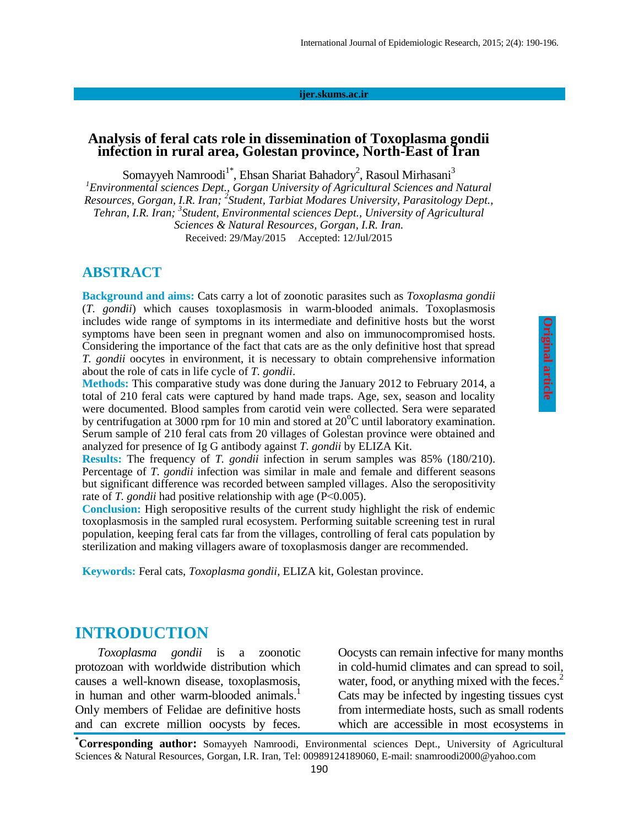#### **ijer.skums.ac.ir**

#### **Analysis of feral cats role in dissemination of Toxoplasma gondii infection in rural area, Golestan province, North-East of Iran**

Somayyeh Namroodi<sup>1\*</sup>, Ehsan Shariat Bahadory<sup>2</sup>, Rasoul Mirhasani<sup>3</sup> *<sup>1</sup>Environmental sciences Dept., Gorgan University of Agricultural Sciences and Natural Resources, Gorgan, I.R. Iran; <sup>2</sup> Student, Tarbiat Modares University, Parasitology Dept., Tehran, I.R. Iran; 3 Student, Environmental sciences Dept., University of Agricultural Sciences & Natural Resources, Gorgan, I.R. Iran.* Received: 29/May/2015 Accepted: 12/Jul/2015

#### **ABSTRACT**

**Background and aims:** Cats carry a lot of zoonotic parasites such as *Toxoplasma gondii* (*T. gondii*) which causes toxoplasmosis in warm-blooded animals. Toxoplasmosis includes wide range of symptoms in its intermediate and definitive hosts but the worst symptoms have been seen in pregnant women and also on immunocompromised hosts. Considering the importance of the fact that cats are as the only definitive host that spread *T. gondii* oocytes in environment, it is necessary to obtain comprehensive information about the role of cats in life cycle of *T. gondii*.

**Methods:** This comparative study was done during the January 2012 to February 2014, a total of 210 feral cats were captured by hand made traps. Age, sex, season and locality were documented. Blood samples from carotid vein were collected. Sera were separated by centrifugation at 3000 rpm for 10 min and stored at  $20^{\circ}$ C until laboratory examination. Serum sample of 210 feral cats from 20 villages of Golestan province were obtained and analyzed for presence of Ig G antibody against *T. gondii* by ELIZA Kit.

**Results:** The frequency of *T. gondii* infection in serum samples was 85% (180/210). Percentage of *T. gondii* infection was similar in male and female and different seasons but significant difference was recorded between sampled villages. Also the seropositivity rate of *T. gondii* had positive relationship with age (P˂0.005).

**Conclusion:** High seropositive results of the current study highlight the risk of endemic toxoplasmosis in the sampled rural ecosystem. Performing suitable screening test in rural population, keeping feral cats far from the villages, controlling of feral cats population by sterilization and making villagers aware of toxoplasmosis danger are recommended.

**Keywords:** Feral cats, *Toxoplasma gondii*, ELIZA kit, Golestan province.

### **INTRODUCTION**

*Toxoplasma gondii* is a zoonotic protozoan with worldwide distribution which causes a well-known disease, toxoplasmosis, in human and other warm-blooded animals.<sup>1</sup> Only members of Felidae are definitive hosts and can excrete million oocysts by feces.

Oocysts can remain infective for many months in cold-humid climates and can spread to soil, water, food, or anything mixed with the feces.<sup>2</sup> Cats may be infected by ingesting tissues cyst from intermediate hosts, such as small rodents which are accessible in most ecosystems in

**\*Corresponding author:** Somayyeh Namroodi, Environmental sciences Dept., University of Agricultural Sciences & Natural Resources, Gorgan, I.R. Iran, Tel: 00989124189060, E-mail: snamroodi2000@yahoo.com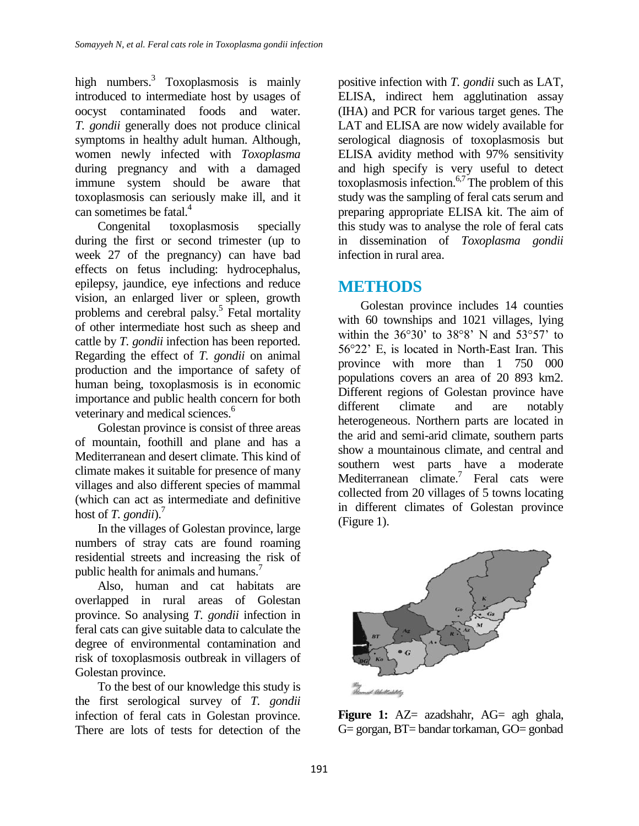high numbers.<sup>3</sup> Toxoplasmosis is mainly introduced to intermediate host by usages of oocyst contaminated foods and water. *T. gondii* generally does not produce clinical symptoms in healthy adult human. Although, women newly infected with *Toxoplasma* during pregnancy and with a damaged immune system should be aware that toxoplasmosis can seriously make ill, and it can sometimes be fatal. 4

Congenital toxoplasmosis specially during the first or second trimester (up to week 27 of the pregnancy) can have bad effects on fetus including: hydrocephalus, epilepsy, jaundice, eye infections and reduce vision, an enlarged liver or spleen, growth problems and cerebral palsy.<sup>5</sup> Fetal mortality of other intermediate host such as sheep and cattle by *T. gondii* infection has been reported. Regarding the effect of *T. gondii* on animal production and the importance of safety of human being, toxoplasmosis is in economic importance and public health concern for both veterinary and medical sciences. 6

Golestan province is consist of three areas of mountain, foothill and plane and has a Mediterranean and desert climate. This kind of climate makes it suitable for presence of many villages and also different species of mammal (which can act as intermediate and definitive host of *T. gondii*). 7

In the villages of Golestan province, large numbers of stray cats are found roaming residential streets and increasing the risk of public health for animals and humans. 7

Also, human and cat habitats are overlapped in rural areas of Golestan province. So analysing *T. gondii* infection in feral cats can give suitable data to calculate the degree of environmental contamination and risk of toxoplasmosis outbreak in villagers of Golestan province.

To the best of our knowledge this study is the first serological survey of *T. gondii* infection of feral cats in Golestan province. There are lots of tests for detection of the

positive infection with *T. gondii* such as LAT, ELISA, indirect hem agglutination assay (IHA) and PCR for various target genes. The LAT and ELISA are now widely available for serological diagnosis of toxoplasmosis but ELISA avidity method with 97% sensitivity and high specify is very useful to detect toxoplasmosis infection. 6,7 The problem of this study was the sampling of feral cats serum and preparing appropriate ELISA kit. The aim of this study was to analyse the role of feral cats in dissemination of *Toxoplasma gondii* infection in rural area.

# **METHODS**

Golestan province includes 14 counties with 60 townships and 1021 villages, lying within the  $36^{\circ}30'$  to  $38^{\circ}8'$  N and  $53^{\circ}57'$  to 56°22' E, is located in North-East Iran. This province with more than 1 750 000 populations covers an area of 20 893 km2. Different regions of Golestan province have different climate and are notably heterogeneous. Northern parts are located in the arid and semi-arid climate, southern parts show a mountainous climate, and central and southern west parts have a moderate Mediterranean climate.<sup>7</sup> Feral cats were collected from 20 villages of 5 towns locating in different climates of Golestan province (Figure 1).



Figure 1: AZ= azadshahr, AG= agh ghala, G= gorgan, BT= bandar torkaman, GO= gonbad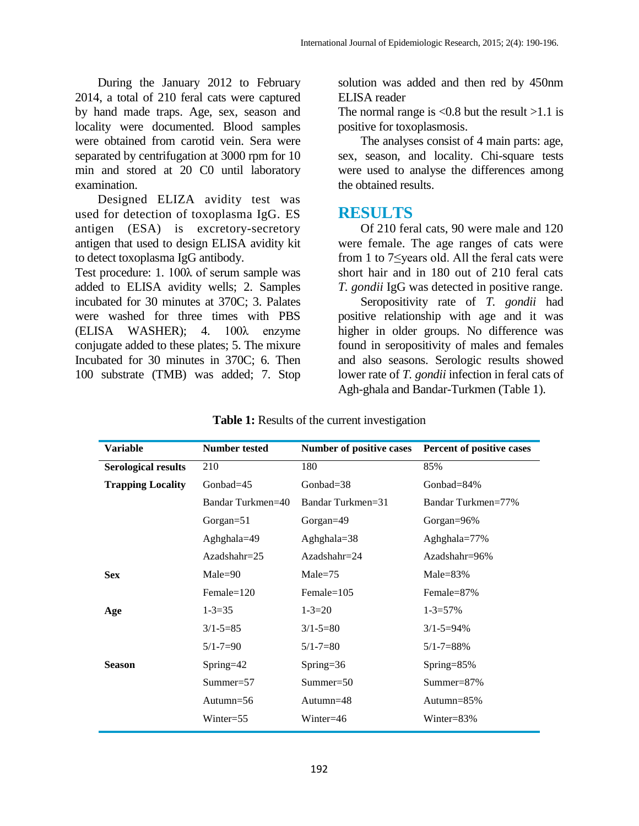During the January 2012 to February 2014, a total of 210 feral cats were captured by hand made traps. Age, sex, season and locality were documented. Blood samples were obtained from carotid vein. Sera were separated by centrifugation at 3000 rpm for 10 min and stored at 20 C0 until laboratory examination.

Designed ELIZA avidity test was used for detection of toxoplasma IgG. ES antigen (ESA) is excretory-secretory antigen that used to design ELISA avidity kit to detect toxoplasma IgG antibody.

Test procedure: 1. 100λ of serum sample was added to ELISA avidity wells; 2. Samples incubated for 30 minutes at 370C; 3. Palates were washed for three times with PBS (ELISA WASHER); 4. 100λ enzyme conjugate added to these plates; 5. The mixure Incubated for 30 minutes in 370C; 6. Then 100 substrate (TMB) was added; 7. Stop

solution was added and then red by 450nm ELISA reader

The normal range is  $\langle 0.8 \text{ but the result } \rangle 1.1$  is positive for toxoplasmosis.

The analyses consist of 4 main parts: age, sex, season, and locality. Chi-square tests were used to analyse the differences among the obtained results.

## **RESULTS**

Of 210 feral cats, 90 were male and 120 were female. The age ranges of cats were from 1 to 7≤years old. All the feral cats were short hair and in 180 out of 210 feral cats *T. gondii* IgG was detected in positive range.

Seropositivity rate of *T. gondii* had positive relationship with age and it was higher in older groups. No difference was found in seropositivity of males and females and also seasons. Serologic results showed lower rate of *T. gondii* infection in feral cats of Agh-ghala and Bandar-Turkmen (Table 1).

| Variable                   | <b>Number tested</b> | Number of positive cases | Percent of positive cases |
|----------------------------|----------------------|--------------------------|---------------------------|
| <b>Serological results</b> | 210                  | 180                      | 85%                       |
| <b>Trapping Locality</b>   | Gonbad= $45$         | Gonbad= $38$             | Gonbad= $84\%$            |
|                            | Bandar Turkmen=40    | Bandar Turkmen=31        | Bandar Turkmen=77%        |
|                            | Gorgan= $51$         | Gorgan=49                | Gorgan= $96\%$            |
|                            | Aghghala=49          | Aghghala= $38$           | Aghghala=77%              |
|                            | $Azadshahr=25$       | $Azadshahr=24$           | $Azadshahr=96%$           |
| <b>Sex</b>                 | $Male = 90$          | $Male = 75$              | Male= $83\%$              |
|                            | $Female=120$         | $Female=105$             | Female=87%                |
| Age                        | $1 - 3 = 35$         | $1 - 3 = 20$             | $1 - 3 = 57\%$            |
|                            | $3/1 - 5 = 85$       | $3/1 - 5 = 80$           | $3/1 - 5 = 94\%$          |
|                            | $5/1 - 7 = 90$       | $5/1 - 7 = 80$           | $5/1 - 7 = 88\%$          |
| <b>Season</b>              | Spring= $42$         | Spring= $36$             | Spring= $85\%$            |
|                            | $Summer = 57$        | $Summer = 50$            | Summer=87%                |
|                            | Autumn=56            | Autumn $=48$             | Autumn=85%                |
|                            | $Winter=55$          | Winter=46                | Winter= $83\%$            |

**Table 1:** Results of the current investigation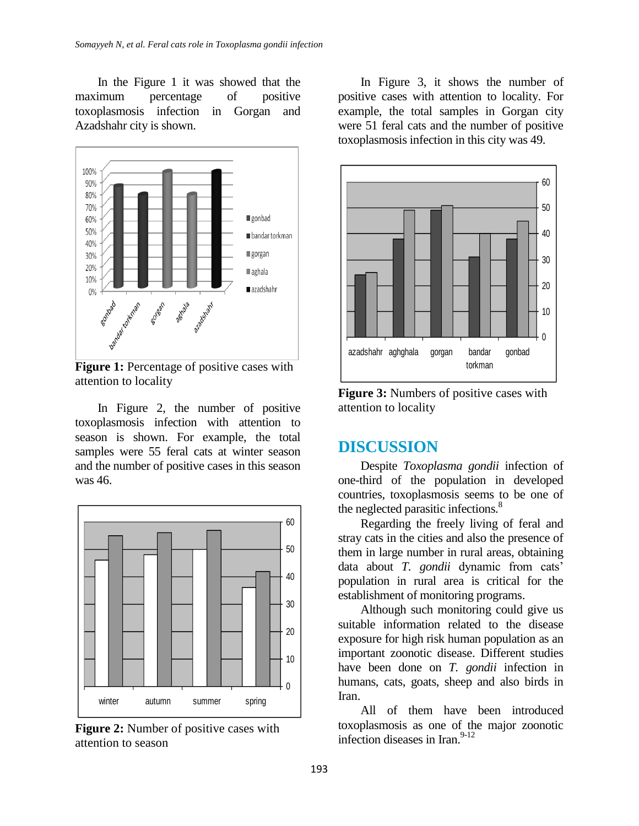In the Figure 1 it was showed that the maximum percentage of positive toxoplasmosis infection in Gorgan and Azadshahr city is shown.



**Figure 1:** Percentage of positive cases with attention to locality

In Figure 2, the number of positive toxoplasmosis infection with attention to season is shown. For example, the total samples were 55 feral cats at winter season and the number of positive cases in this season was 46.



**Figure 2:** Number of positive cases with attention to season

In Figure 3, it shows the number of positive cases with attention to locality. For example, the total samples in Gorgan city were 51 feral cats and the number of positive toxoplasmosis infection in this city was 49.



**Figure 3:** Numbers of positive cases with attention to locality

## **DISCUSSION**

Despite *Toxoplasma gondii* infection of one-third of the population in developed countries, toxoplasmosis seems to be one of the neglected parasitic infections.<sup>8</sup>

Regarding the freely living of feral and stray cats in the cities and also the presence of them in large number in rural areas, obtaining data about *T. gondii* dynamic from cats' population in rural area is critical for the establishment of monitoring programs.

Although such monitoring could give us suitable information related to the disease exposure for high risk human population as an important zoonotic disease. Different studies have been done on *T. gondii* infection in humans, cats, goats, sheep and also birds in Iran.

All of them have been introduced toxoplasmosis as one of the major zoonotic infection diseases in Iran. 9-12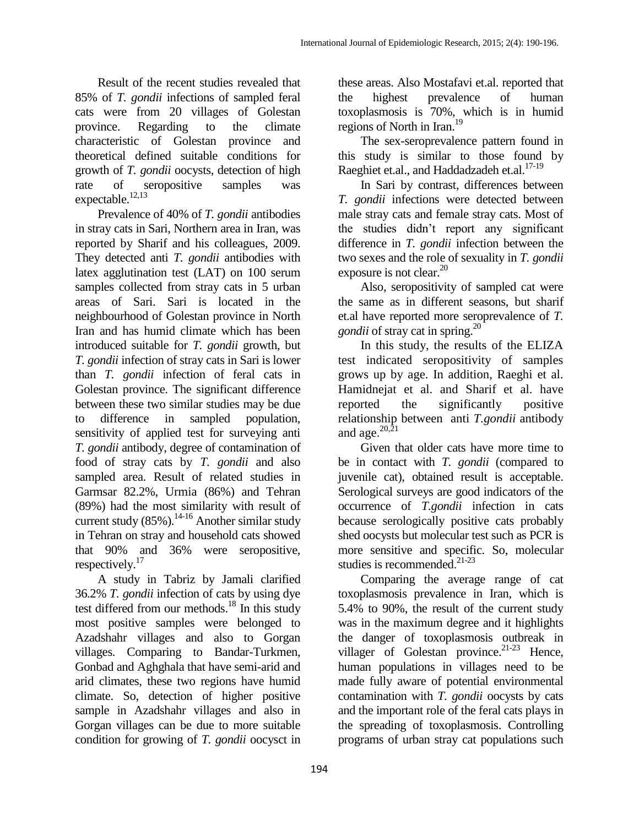Result of the recent studies revealed that 85% of *T. gondii* infections of sampled feral cats were from 20 villages of Golestan province. Regarding to the climate characteristic of Golestan province and theoretical defined suitable conditions for growth of *T. gondii* oocysts, detection of high rate of seropositive samples was expectable.<sup>12,13</sup>

Prevalence of 40% of *T. gondii* antibodies in stray cats in Sari, Northern area in Iran, was reported by Sharif and his colleagues, 2009. They detected anti *T. gondii* antibodies with latex agglutination test (LAT) on 100 serum samples collected from stray cats in 5 urban areas of Sari. Sari is located in the neighbourhood of Golestan province in North Iran and has humid climate which has been introduced suitable for *T. gondii* growth, but *T. gondii* infection of stray cats in Sari is lower than *T. gondii* infection of feral cats in Golestan province. The significant difference between these two similar studies may be due to difference in sampled population, sensitivity of applied test for surveying anti *T. gondii* antibody, degree of contamination of food of stray cats by *T. gondii* and also sampled area. Result of related studies in Garmsar 82.2%, Urmia (86%) and Tehran (89%) had the most similarity with result of current study  $(85\%)$ .<sup>14-16</sup> Another similar study in Tehran on stray and household cats showed that 90% and 36% were seropositive, respectively.<sup>17</sup>

A study in Tabriz by Jamali clarified 36.2% *T. gondii* infection of cats by using dye test differed from our methods. <sup>18</sup> In this study most positive samples were belonged to Azadshahr villages and also to Gorgan villages. Comparing to Bandar-Turkmen, Gonbad and Aghghala that have semi-arid and arid climates, these two regions have humid climate. So, detection of higher positive sample in Azadshahr villages and also in Gorgan villages can be due to more suitable condition for growing of *T. gondii* oocysct in

these areas. Also Mostafavi et.al. reported that the highest prevalence of human toxoplasmosis is 70%, which is in humid regions of North in Iran.<sup>19</sup>

The sex-seroprevalence pattern found in this study is similar to those found by Raeghiet et.al., and Haddadzadeh et.al.<sup>17-19</sup>

In Sari by contrast, differences between *T. gondii* infections were detected between male stray cats and female stray cats. Most of the studies didn't report any significant difference in *T. gondii* infection between the two sexes and the role of sexuality in *T. gondii* exposure is not clear. 20

Also, seropositivity of sampled cat were the same as in different seasons, but sharif et.al have reported more seroprevalence of *T. gondii* of stray cat in spring.<sup>20</sup>

In this study, the results of the ELIZA test indicated seropositivity of samples grows up by age. In addition, Raeghi et al. Hamidnejat et al. and Sharif et al. have reported the significantly positive relationship between anti *T.gondii* antibody and age. $^{20,\bar{21}}$ 

Given that older cats have more time to be in contact with *T. gondii* (compared to juvenile cat), obtained result is acceptable. Serological surveys are good indicators of the occurrence of *T.gondii* infection in cats because serologically positive cats probably shed oocysts but molecular test such as PCR is more sensitive and specific. So, molecular studies is recommended. 21-23

Comparing the average range of cat toxoplasmosis prevalence in Iran, which is 5.4% to 90%, the result of the current study was in the maximum degree and it highlights the danger of toxoplasmosis outbreak in villager of Golestan province.<sup>21-23</sup> Hence, human populations in villages need to be made fully aware of potential environmental contamination with *T. gondii* oocysts by cats and the important role of the feral cats plays in the spreading of toxoplasmosis. Controlling programs of urban stray cat populations such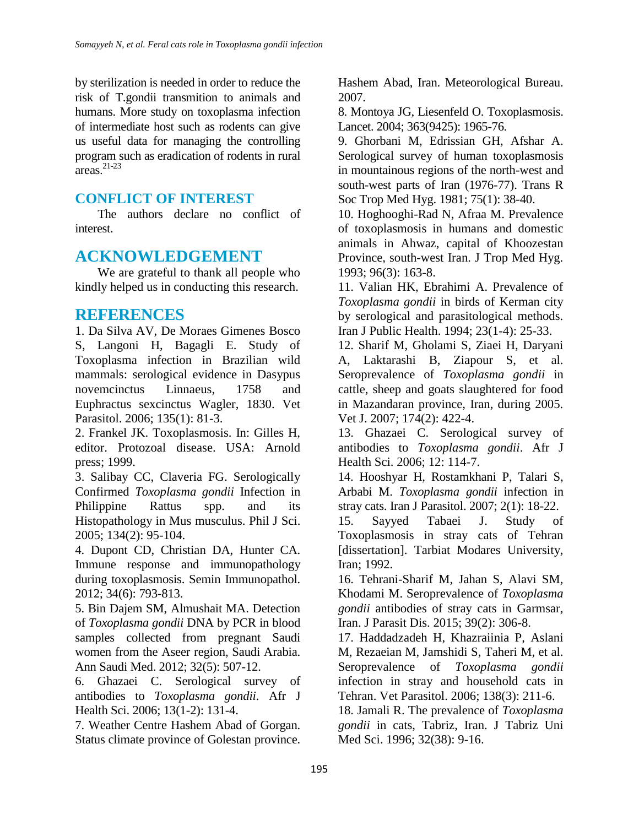by sterilization is needed in order to reduce the risk of T.gondii transmition to animals and humans. More study on toxoplasma infection of intermediate host such as rodents can give us useful data for managing the controlling program such as eradication of rodents in rural areas. 21-23

#### **CONFLICT OF INTEREST**

The authors declare no conflict of interest.

## **ACKNOWLEDGEMENT**

We are grateful to thank all people who kindly helped us in conducting this research.

### **REFERENCES**

1. Da Silva AV, De Moraes Gimenes Bosco S, Langoni H, Bagagli E. Study of Toxoplasma infection in Brazilian wild mammals: serological evidence in Dasypus novemcinctus Linnaeus, 1758 and Euphractus sexcinctus Wagler, 1830. Vet Parasitol. 2006; 135(1): 81-3.

2. Frankel JK. Toxoplasmosis. In: Gilles H, editor. Protozoal disease. USA: Arnold press; 1999.

3. Salibay CC, Claveria FG. Serologically Confirmed *Toxoplasma gondii* Infection in Philippine Rattus spp. and its Histopathology in Mus musculus. Phil J Sci. 2005; 134(2): 95-104.

4. Dupont CD, Christian DA, Hunter CA. Immune response and immunopathology during toxoplasmosis. Semin Immunopathol. 2012; 34(6): 793-813.

5. Bin Dajem SM, Almushait MA. Detection of *Toxoplasma gondii* DNA by PCR in blood samples collected from pregnant Saudi women from the Aseer region, Saudi Arabia. Ann Saudi Med. 2012; 32(5): 507-12.

6. Ghazaei C. Serological survey of antibodies to *Toxoplasma gondii*. Afr J Health Sci. 2006; 13(1-2): 131-4.

7. Weather Centre Hashem Abad of Gorgan. Status climate province of Golestan province. Hashem Abad, Iran. Meteorological Bureau. 2007.

8. Montoya JG, Liesenfeld O. Toxoplasmosis. Lancet. 2004; 363(9425): 1965-76.

9. Ghorbani M, Edrissian GH, Afshar A. Serological survey of human toxoplasmosis in mountainous regions of the north-west and south-west parts of Iran (1976-77). Trans R Soc Trop Med Hyg. 1981; 75(1): 38-40.

10. Hoghooghi-Rad N, Afraa M. Prevalence of toxoplasmosis in humans and domestic animals in Ahwaz, capital of Khoozestan Province, south-west Iran. J Trop Med Hyg. 1993; 96(3): 163-8.

11. Valian HK, Ebrahimi A. Prevalence of *Toxoplasma gondii* in birds of Kerman city by serological and parasitological methods. Iran J Public Health. 1994; 23(1-4): 25-33.

12. Sharif M, Gholami S, Ziaei H, Daryani A, Laktarashi B, Ziapour S, et al. Seroprevalence of *Toxoplasma gondii* in cattle, sheep and goats slaughtered for food in Mazandaran province, Iran, during 2005. Vet J. 2007; 174(2): 422-4.

13. Ghazaei C. Serological survey of antibodies to *Toxoplasma gondii*. Afr J Health Sci. 2006; 12: 114-7.

14. Hooshyar H, Rostamkhani P, Talari S, Arbabi M. *Toxoplasma gondii* infection in stray cats. Iran J Parasitol. 2007; 2(1): 18-22.

15. Sayyed Tabaei J. Study of Toxoplasmosis in stray cats of Tehran [dissertation]. Tarbiat Modares University, Iran; 1992.

16. Tehrani-Sharif M, Jahan S, Alavi SM, Khodami M. Seroprevalence of *Toxoplasma gondii* antibodies of stray cats in Garmsar, Iran. J Parasit Dis. 2015; 39(2): 306-8.

17. Haddadzadeh H, Khazraiinia P, Aslani M, Rezaeian M, Jamshidi S, Taheri M, et al. Seroprevalence of *Toxoplasma gondii* infection in stray and household cats in Tehran. Vet Parasitol. 2006; 138(3): 211-6.

18. Jamali R. The prevalence of *Toxoplasma gondii* in cats, Tabriz, Iran. J Tabriz Uni Med Sci. 1996; 32(38): 9-16.